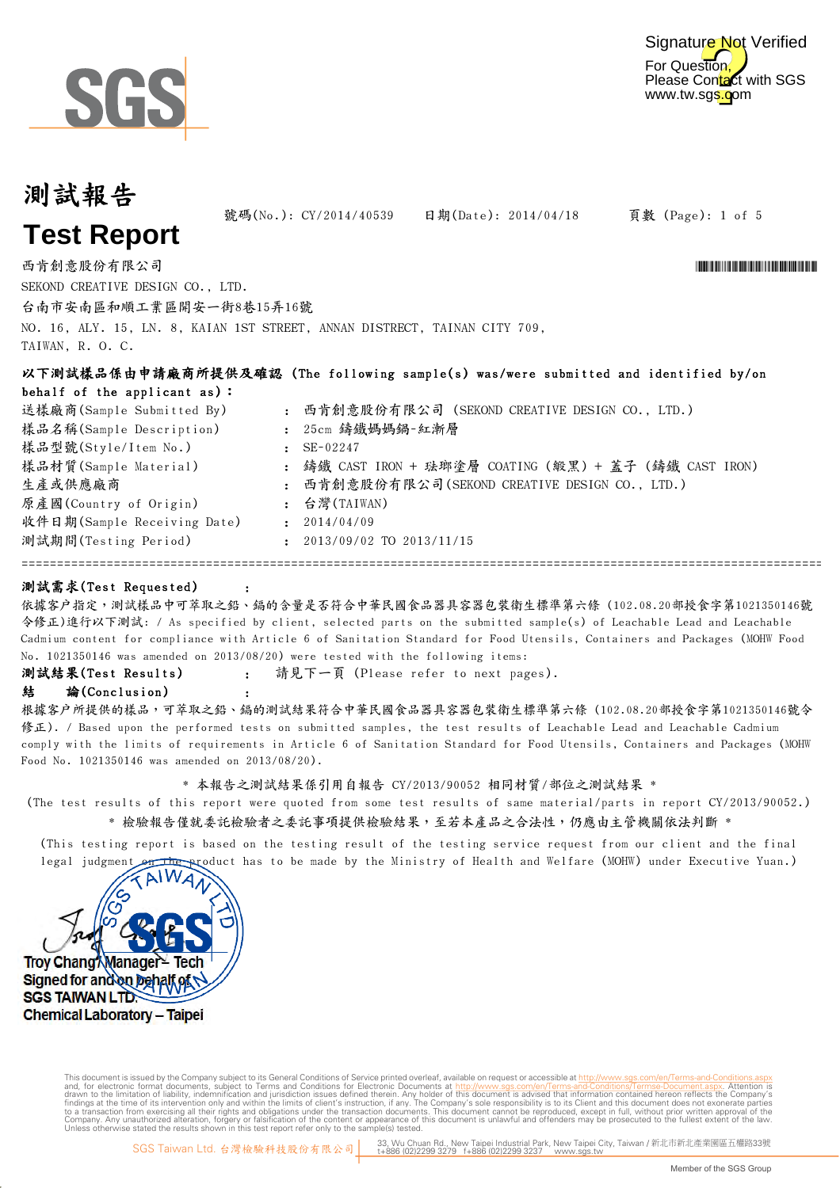

For Question, Please Contact with SGS www.tw.sgs.com Signature Not Verified

## 測試報告 **Test Report**

TAIWAN, R. O. C.

號碼(No.): CY/2014/40539 日期(Date): 2014/04/18

頁數 (Page): 1 of 5

\*CY/2014 TO 1011 TO 1011 TO 1011 TO 1011 TO 1011 TO 1011 TO 1011 TO 1011

西肯創意股份有限公司 SEKOND CREATIVE DESIGN CO., LTD.

台南市安南區和順工業區開安一街8巷15弄16號 NO. 16, ALY. 15, LN. 8, KAIAN 1ST STREET, ANNAN DISTRECT, TAINAN CITY 709,

:

:

以下測試樣品係由申請廠商所提供及確認 (The following sample(s) was/were submitted and identified by/on behalf of the applicant as):

| 送樣廠商(Sample Submitted By)                        |              | : 西肯創意股份有限公司 (SEKOND CREATIVE DESIGN CO., LTD.)        |
|--------------------------------------------------|--------------|--------------------------------------------------------|
| 樣品名稱(Sample Description)<br>樣品型號(Style/Item No.) |              | : 25cm 鑄鐵媽媽鍋-紅漸層<br>$\cdot$ SE-02247                   |
| 樣品材質(Sample Material)                            |              | : 鑄鐵 CAST IRON + 琺瑯塗層 COATING (緞黑) + 蓋子 (鑄鐵 CAST IRON) |
| 生產或供應廠商                                          |              | : 西肯創意股份有限公司(SEKOND CREATIVE DESIGN CO., LTD.)         |
| 原產國(Country of Origin)                           |              | : 台灣(TAIWAN)                                           |
| 收件日期(Sample Receiving Date)                      | $\mathbf{r}$ | 2014/04/09                                             |
| 測試期間(Testing Period)                             | $\mathbf{r}$ | 2013/09/02 TO 2013/11/15                               |

### 測試需求(Test Requested)

依據客户指定,測試樣品中可萃取之鉛、鎘的含量是否符合中華民國食品器具容器包裝衛生標準第六條 (102.08.20部授食字第1021350146號 令修正)進行以下測試: / As specified by client, selected parts on the submitted sample(s) of Leachable Lead and Leachable Cadmium content for compliance with Article 6 of Sanitation Standard for Food Utensils, Containers and Packages (MOHW Food No. 1021350146 was amended on 2013/08/20) were tested with the following items:

====================================================================================================================

: 請見下一頁 (Please refer to next pages). 測試結果(Test Results)

#### 結 論(Conclusion)

根據客戶所提供的樣品,可萃取之鉛、鎘的測試結果符合中華民國食品器具容器包裝衛生標準第六條 (102.08.20部授食字第1021350146號令 修正). / Based upon the performed tests on submitted samples, the test results of Leachable Lead and Leachable Cadmium comply with the limits of requirements in Article 6 of Sanitation Standard for Food Utensils, Containers and Packages (MOHW Food No. 1021350146 was amended on 2013/08/20).

#### \* 本報告之測試結果係引用自報告 CY/2013/90052 相同材質/部位之測試結果 \*

\* 檢驗報告僅就委託檢驗者之委託事項提供檢驗結果,至若本產品之合法性,仍應由主管機關依法判斷 \* (The test results of this report were quoted from some test results of same material/parts in report CY/2013/90052.)

(This testing report is based on the testing result of the testing service request from our client and the final legal judgment on the product has to be made by the Ministry of Health and Welfare (MOHW) under Executive Yuan.)



Digitally signed by ww.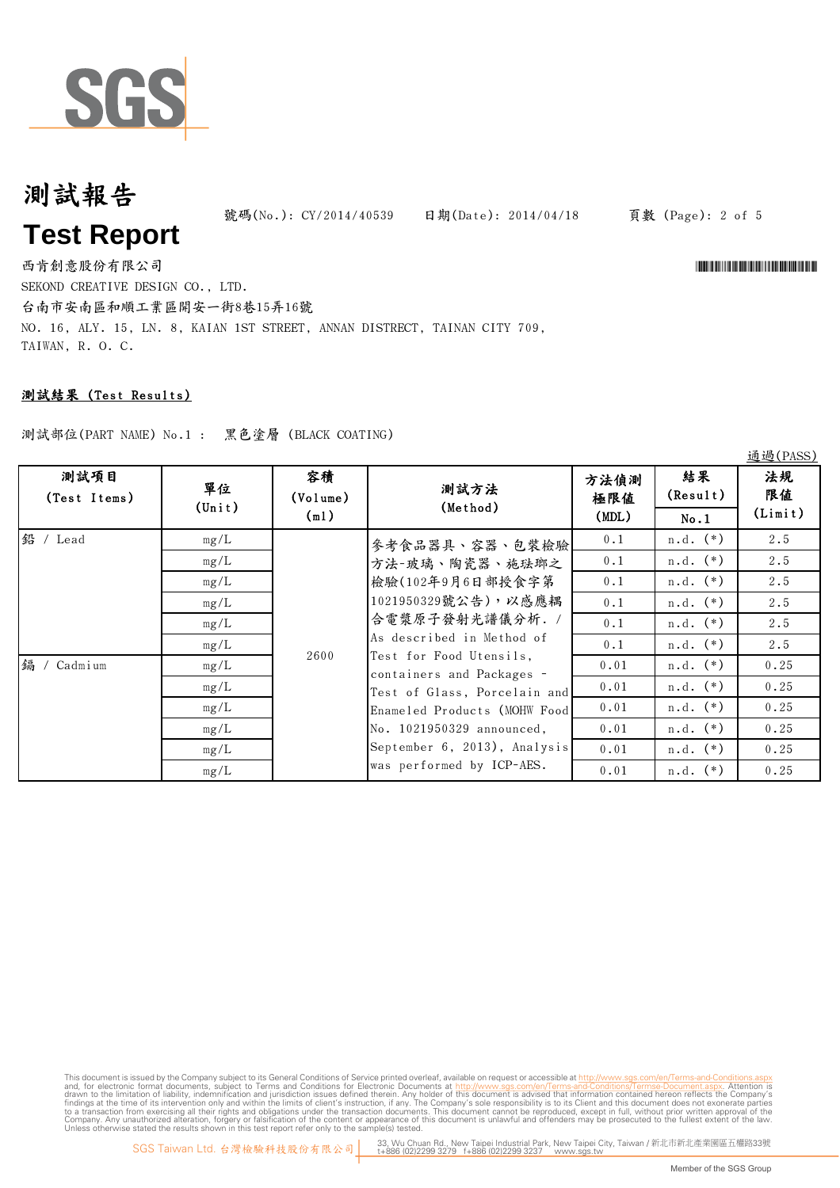

號碼(No.): CY/2014/40539 日期(Date): 2014/04/18

頁數 (Page): 2 of 5

\*CY/2014/40539\*

西肯創意股份有限公司 SEKOND CREATIVE DESIGN CO., LTD. 台南市安南區和順工業區開安一街8巷15弄16號 NO. 16, ALY. 15, LN. 8, KAIAN 1ST STREET, ANNAN DISTRECT, TAINAN CITY 709, TAIWAN, R. O. C.

### 測試結果 (Test Results)

測試部位(PART NAME) No.1 : 黑色塗層 (BLACK COATING)

|                      |                       |                        |                                                                                                                                                                                                                                                                                                                                               |                      |                | 通過(PASS)            |
|----------------------|-----------------------|------------------------|-----------------------------------------------------------------------------------------------------------------------------------------------------------------------------------------------------------------------------------------------------------------------------------------------------------------------------------------------|----------------------|----------------|---------------------|
| 測試項目<br>(Test Items) | 單位<br>$(\text{Unit})$ | 容積<br>(Volume)<br>(m1) | 測試方法<br>(Method)                                                                                                                                                                                                                                                                                                                              | 方法偵測<br>極限値<br>(MDL) | 結果<br>(Result) | 法規<br>限值<br>(Limit) |
|                      |                       |                        |                                                                                                                                                                                                                                                                                                                                               |                      | No.1           |                     |
| 鉛 / Lead             | mg/L                  |                        | 參考食品器具、容器、包裝檢驗<br>方法-玻璃、陶瓷器、施珐瑯之<br>檢驗(102年9月6日部授食字第<br>1021950329號公告),以感應耦<br>合電漿原子發射光譜儀分析. /<br>As described in Method of<br>Test for Food Utensils,<br>containers and Packages -<br>Test of Glass, Porcelain and<br>Enameled Products (MOHW Food<br>No. 1021950329 announced,<br>September 6, 2013), Analysis<br>was performed by ICP-AES. | 0.1                  | $n.d.$ $(*)$   | 2.5                 |
|                      | mg/L                  | 2600                   |                                                                                                                                                                                                                                                                                                                                               | 0.1                  | $n.d.$ $(*)$   | 2.5                 |
|                      | mg/L                  |                        |                                                                                                                                                                                                                                                                                                                                               | 0.1                  | $n.d.$ $(*)$   | 2.5                 |
|                      | mg/L                  |                        |                                                                                                                                                                                                                                                                                                                                               | 0.1                  | $n.d.$ $(*)$   | 2.5                 |
|                      | mg/L                  |                        |                                                                                                                                                                                                                                                                                                                                               | 0.1                  | $n.d.$ $(*)$   | 2.5                 |
|                      | mg/L                  |                        |                                                                                                                                                                                                                                                                                                                                               | 0.1                  | $n.d.$ $(*)$   | 2.5                 |
| 鎘 /<br>Cadmium       | mg/L                  |                        |                                                                                                                                                                                                                                                                                                                                               | 0.01                 | $n.d.$ $(*)$   | 0.25                |
|                      | mg/L                  |                        |                                                                                                                                                                                                                                                                                                                                               | 0.01                 | $n.d.$ $(*)$   | 0.25                |
|                      | mg/L                  |                        |                                                                                                                                                                                                                                                                                                                                               | 0.01                 | $n.d.$ $(*)$   | 0.25                |
|                      | mg/L                  |                        |                                                                                                                                                                                                                                                                                                                                               | 0.01                 | $n.d.$ $(*)$   | 0.25                |
|                      | mg/L                  |                        |                                                                                                                                                                                                                                                                                                                                               | 0.01                 | $n.d.$ (*)     | 0.25                |
|                      | mg/L                  |                        |                                                                                                                                                                                                                                                                                                                                               | 0.01                 | $n.d.$ (*)     | 0.25                |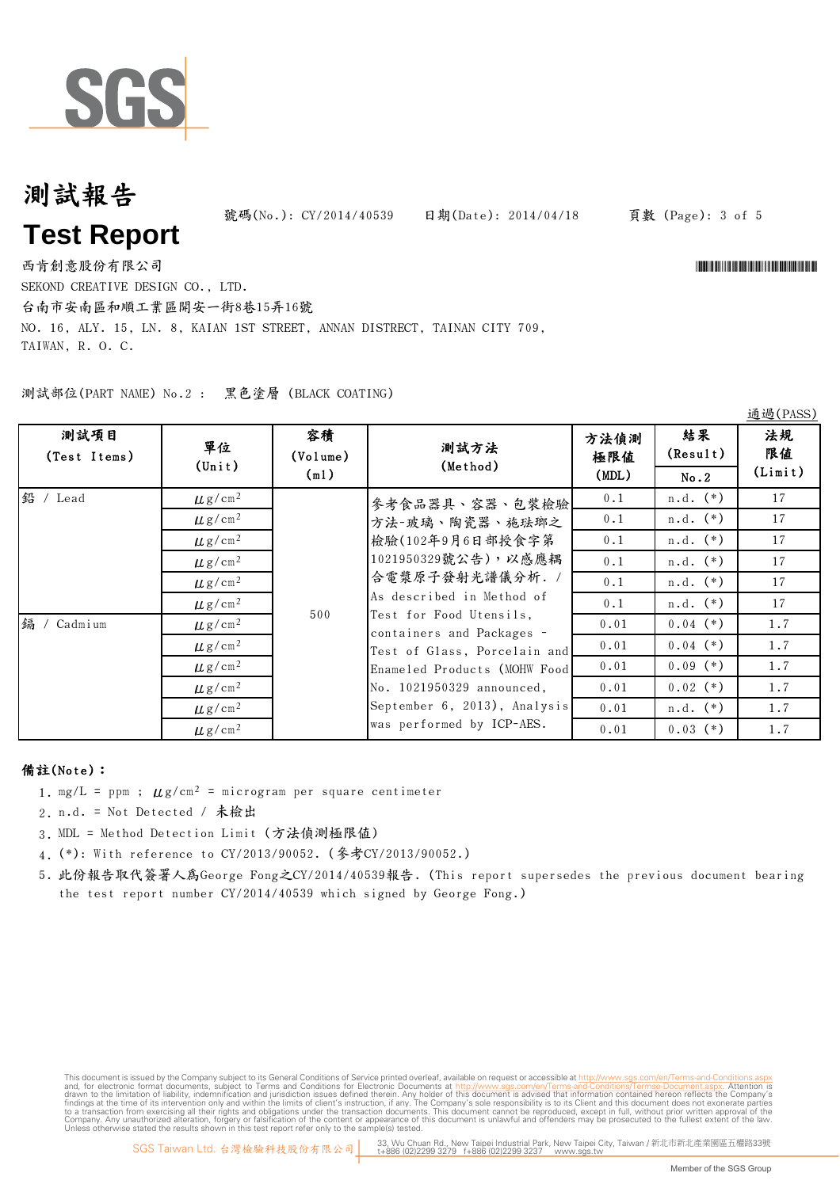

號碼(No.): CY/2014/40539 日期(Date): 2014/04/18

#### 頁數 (Page): 3 of 5

西肯創意股份有限公司 SEKOND CREATIVE DESIGN CO., LTD.

台南市安南區和順工業區開安一街8巷15弄16號

NO. 16, ALY. 15, LN. 8, KAIAN 1ST STREET, ANNAN DISTRECT, TAINAN CITY 709, TAIWAN, R. O. C.

測試部位(PART NAME) No.2 : 黑色塗層 (BLACK COATING)

| 測試項目<br>(Test Items) | 單位<br>$(\text{Unit})$   | 容積<br>(Volume)<br>(m1) | 測試方法<br>(Method)                                                                                                                                                                                                                                                                                                            | 方法偵測<br>極限値<br>(MDL) | 結果<br>(Result)<br>No.2 | 法規<br>限值<br>(Limit) |
|----------------------|-------------------------|------------------------|-----------------------------------------------------------------------------------------------------------------------------------------------------------------------------------------------------------------------------------------------------------------------------------------------------------------------------|----------------------|------------------------|---------------------|
| 鉛 / Lead             | $\mu$ g/cm <sup>2</sup> |                        |                                                                                                                                                                                                                                                                                                                             | 0.1                  | $n.d.$ $(*)$           | 17                  |
|                      |                         | 500                    | 參考食品器具、容器、包裝檢驗                                                                                                                                                                                                                                                                                                              |                      |                        |                     |
|                      | $\mu$ g/cm <sup>2</sup> |                        | 方法-玻璃、陶瓷器、施珐瑯之<br>檢驗(102年9月6日部授食字第<br>1021950329號公告),以感應耦<br>合電漿原子發射光譜儀分析. /<br>As described in Method of<br>Test for Food Utensils,<br>containers and Packages -<br>Test of Glass, Porcelain and<br>Enameled Products (MOHW Food<br>No. 1021950329 announced,<br>September 6, 2013), Analysis<br>was performed by ICP-AES. | 0.1                  | $n.d.$ $(*)$           | 17                  |
|                      | $\mu$ g/cm <sup>2</sup> |                        |                                                                                                                                                                                                                                                                                                                             | 0.1                  | $n.d.$ $(*)$           | 17                  |
|                      | $\mu$ g/cm <sup>2</sup> |                        |                                                                                                                                                                                                                                                                                                                             | 0.1                  | $n.d.$ $(*)$           | 17                  |
|                      | $\mu$ g/cm <sup>2</sup> |                        |                                                                                                                                                                                                                                                                                                                             | 0.1                  | $n.d.$ $(*)$           | 17                  |
|                      | $\mu$ g/cm <sup>2</sup> |                        |                                                                                                                                                                                                                                                                                                                             | 0.1                  | $n.d.$ $(*)$           | 17                  |
| 鎘<br>Cadmium         | $\mu$ g/cm <sup>2</sup> |                        |                                                                                                                                                                                                                                                                                                                             | 0.01                 | $0.04$ $(*)$           | 1.7                 |
|                      | $\mu$ g/cm <sup>2</sup> |                        |                                                                                                                                                                                                                                                                                                                             | 0.01                 | $0.04$ $(*)$           | 1.7                 |
|                      | $\mu$ g/cm <sup>2</sup> |                        |                                                                                                                                                                                                                                                                                                                             | 0.01                 | $0.09$ $(*)$           | 1.7                 |
|                      | $\mu$ g/cm <sup>2</sup> |                        |                                                                                                                                                                                                                                                                                                                             | 0.01                 | $0.02$ $(*)$           | 1.7                 |
|                      | $\mu$ g/cm <sup>2</sup> |                        |                                                                                                                                                                                                                                                                                                                             | 0.01                 | $n.d.$ $(*)$           | 1.7                 |
|                      | $\mu$ g/cm <sup>2</sup> |                        |                                                                                                                                                                                                                                                                                                                             | 0.01                 | $0.03$ $(*)$           | 1.7                 |

#### 備註(Note):

- 1. mg/L = ppm ;  $\mu$ g/cm<sup>2</sup> = microgram per square centimeter
- 2. n.d. = Not Detected / 未檢出
- 3. MDL = Method Detection Limit (方法偵測極限值)
- 4. (\*): With reference to CY/2013/90052. (參考CY/2013/90052.)
- 5. 此份報告取代簽署人為George Fong之CY/2014/40539報告. (This report supersedes the previous document bearing the test report number CY/2014/40539 which signed by George Fong.)

This document is issued by the Company subject to Terms and Conditions of Service printed overleaf, available on request or accessible at th<u>ttp://www.sgs.com/en/Terms-and-Conditions/Termse-Document as apx</u><br>and, for electr

通過(PASS)

\*CY/2014 THE CY/2014 THE CY/2014 THE CY/2014 THE CY/2014 THE CY/2014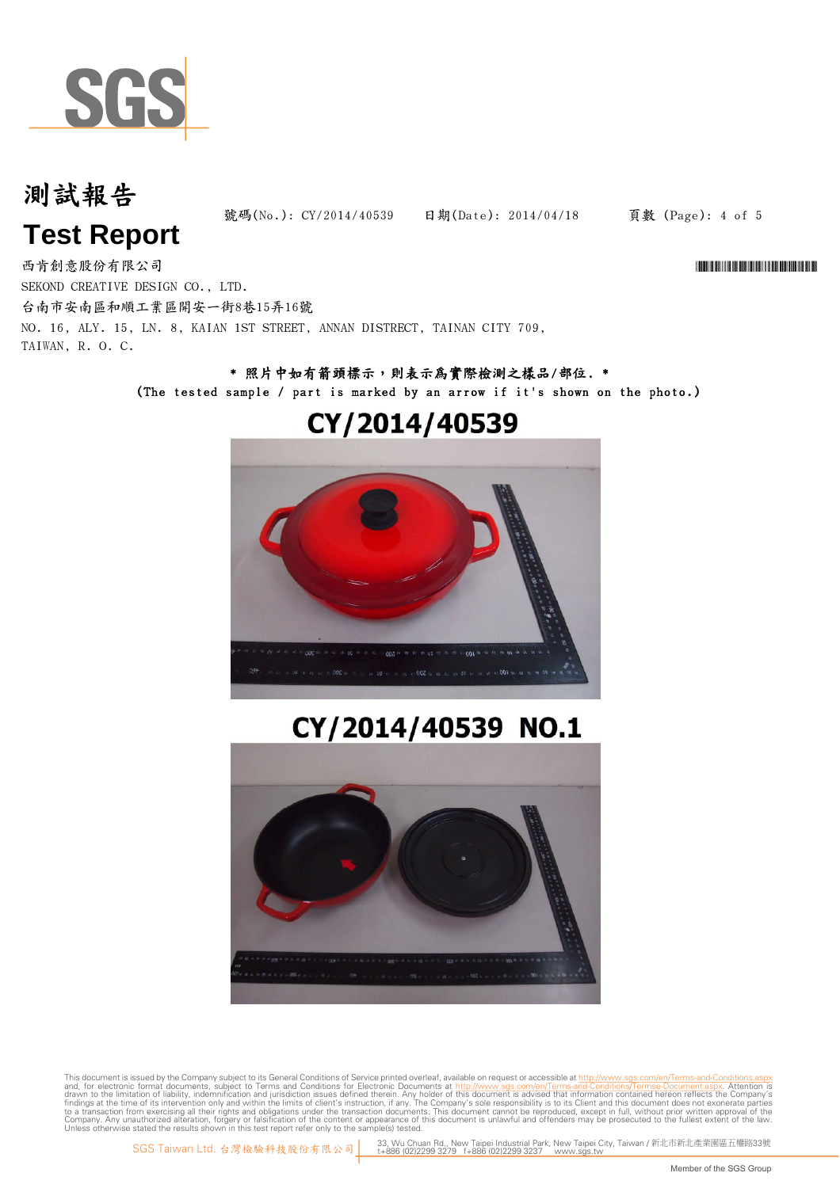

號碼(No.): CY/2014/40539 日期(Date): 2014/04/18

頁數 (Page): 4 of 5

\*CY/2014/40539\*

西肯創意股份有限公司 SEKOND CREATIVE DESIGN CO., LTD. 台南市安南區和順工業區開安一街8巷15弄16號 NO. 16, ALY. 15, LN. 8, KAIAN 1ST STREET, ANNAN DISTRECT, TAINAN CITY 709, TAIWAN, R. O. C.

### \* 照片中如有箭頭標示,則表示為實際檢測之樣品/部位. \* (The tested sample / part is marked by an arrow if it's shown on the photo.)

## CY/2014/40539



# CY/2014/40539 NO.1